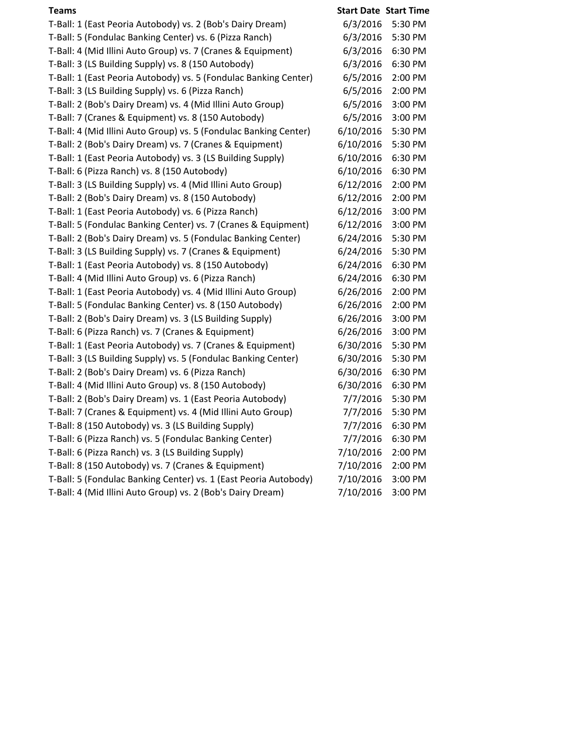| <b>Teams</b>                                                      | <b>Start Date Start Time</b> |         |
|-------------------------------------------------------------------|------------------------------|---------|
| T-Ball: 1 (East Peoria Autobody) vs. 2 (Bob's Dairy Dream)        | 6/3/2016                     | 5:30 PM |
| T-Ball: 5 (Fondulac Banking Center) vs. 6 (Pizza Ranch)           | 6/3/2016                     | 5:30 PM |
| T-Ball: 4 (Mid Illini Auto Group) vs. 7 (Cranes & Equipment)      | 6/3/2016                     | 6:30 PM |
| T-Ball: 3 (LS Building Supply) vs. 8 (150 Autobody)               | 6/3/2016                     | 6:30 PM |
| T-Ball: 1 (East Peoria Autobody) vs. 5 (Fondulac Banking Center)  | 6/5/2016                     | 2:00 PM |
| T-Ball: 3 (LS Building Supply) vs. 6 (Pizza Ranch)                | 6/5/2016                     | 2:00 PM |
| T-Ball: 2 (Bob's Dairy Dream) vs. 4 (Mid Illini Auto Group)       | 6/5/2016                     | 3:00 PM |
| T-Ball: 7 (Cranes & Equipment) vs. 8 (150 Autobody)               | 6/5/2016                     | 3:00 PM |
| T-Ball: 4 (Mid Illini Auto Group) vs. 5 (Fondulac Banking Center) | 6/10/2016                    | 5:30 PM |
| T-Ball: 2 (Bob's Dairy Dream) vs. 7 (Cranes & Equipment)          | 6/10/2016                    | 5:30 PM |
| T-Ball: 1 (East Peoria Autobody) vs. 3 (LS Building Supply)       | 6/10/2016                    | 6:30 PM |
| T-Ball: 6 (Pizza Ranch) vs. 8 (150 Autobody)                      | 6/10/2016                    | 6:30 PM |
| T-Ball: 3 (LS Building Supply) vs. 4 (Mid Illini Auto Group)      | 6/12/2016                    | 2:00 PM |
| T-Ball: 2 (Bob's Dairy Dream) vs. 8 (150 Autobody)                | 6/12/2016                    | 2:00 PM |
| T-Ball: 1 (East Peoria Autobody) vs. 6 (Pizza Ranch)              | 6/12/2016                    | 3:00 PM |
| T-Ball: 5 (Fondulac Banking Center) vs. 7 (Cranes & Equipment)    | 6/12/2016                    | 3:00 PM |
| T-Ball: 2 (Bob's Dairy Dream) vs. 5 (Fondulac Banking Center)     | 6/24/2016                    | 5:30 PM |
| T-Ball: 3 (LS Building Supply) vs. 7 (Cranes & Equipment)         | 6/24/2016                    | 5:30 PM |
| T-Ball: 1 (East Peoria Autobody) vs. 8 (150 Autobody)             | 6/24/2016                    | 6:30 PM |
| T-Ball: 4 (Mid Illini Auto Group) vs. 6 (Pizza Ranch)             | 6/24/2016                    | 6:30 PM |
| T-Ball: 1 (East Peoria Autobody) vs. 4 (Mid Illini Auto Group)    | 6/26/2016                    | 2:00 PM |
| T-Ball: 5 (Fondulac Banking Center) vs. 8 (150 Autobody)          | 6/26/2016                    | 2:00 PM |
| T-Ball: 2 (Bob's Dairy Dream) vs. 3 (LS Building Supply)          | 6/26/2016                    | 3:00 PM |
| T-Ball: 6 (Pizza Ranch) vs. 7 (Cranes & Equipment)                | 6/26/2016                    | 3:00 PM |
| T-Ball: 1 (East Peoria Autobody) vs. 7 (Cranes & Equipment)       | 6/30/2016                    | 5:30 PM |
| T-Ball: 3 (LS Building Supply) vs. 5 (Fondulac Banking Center)    | 6/30/2016                    | 5:30 PM |
| T-Ball: 2 (Bob's Dairy Dream) vs. 6 (Pizza Ranch)                 | 6/30/2016                    | 6:30 PM |
| T-Ball: 4 (Mid Illini Auto Group) vs. 8 (150 Autobody)            | 6/30/2016                    | 6:30 PM |
| T-Ball: 2 (Bob's Dairy Dream) vs. 1 (East Peoria Autobody)        | 7/7/2016                     | 5:30 PM |
| T-Ball: 7 (Cranes & Equipment) vs. 4 (Mid Illini Auto Group)      | 7/7/2016                     | 5:30 PM |
| T-Ball: 8 (150 Autobody) vs. 3 (LS Building Supply)               | 7/7/2016                     | 6:30 PM |
| T-Ball: 6 (Pizza Ranch) vs. 5 (Fondulac Banking Center)           | 7/7/2016                     | 6:30 PM |
| T-Ball: 6 (Pizza Ranch) vs. 3 (LS Building Supply)                | 7/10/2016                    | 2:00 PM |
| T-Ball: 8 (150 Autobody) vs. 7 (Cranes & Equipment)               | 7/10/2016                    | 2:00 PM |
| T-Ball: 5 (Fondulac Banking Center) vs. 1 (East Peoria Autobody)  | 7/10/2016                    | 3:00 PM |
| T-Ball: 4 (Mid Illini Auto Group) vs. 2 (Bob's Dairy Dream)       | 7/10/2016                    | 3:00 PM |